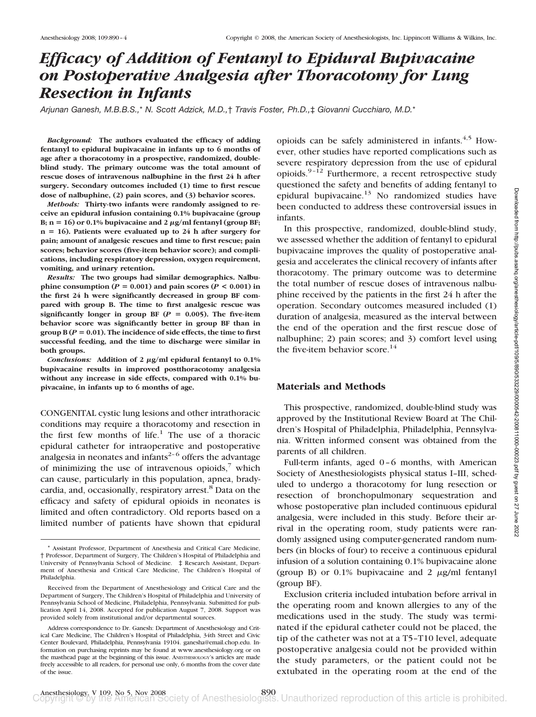# *Efficacy of Addition of Fentanyl to Epidural Bupivacaine on Postoperative Analgesia after Thoracotomy for Lung Resection in Infants*

*Arjunan Ganesh, M.B.B.S.,*\* *N. Scott Adzick, M.D.,*† *Travis Foster, Ph.D.,*‡ *Giovanni Cucchiaro, M.D.*\*

*Background:* **The authors evaluated the efficacy of adding fentanyl to epidural bupivacaine in infants up to 6 months of age after a thoracotomy in a prospective, randomized, doubleblind study. The primary outcome was the total amount of rescue doses of intravenous nalbuphine in the first 24 h after surgery. Secondary outcomes included (1) time to first rescue dose of nalbuphine, (2) pain scores, and (3) behavior scores.**

*Methods:* **Thirty-two infants were randomly assigned to receive an epidural infusion containing 0.1% bupivacaine (group**  $B; n = 16$ ) or 0.1% bupivacaine and 2  $\mu$ g/ml fentanyl (group  $BF;$  $n = 16$ ). Patients were evaluated up to 24 h after surgery for **pain; amount of analgesic rescues and time to first rescue; pain scores; behavior scores (five-item behavior score); and complications, including respiratory depression, oxygen requirement, vomiting, and urinary retention.**

*Results:* **The two groups had similar demographics. Nalbuphine consumption (** $P = 0.001$ **) and pain scores (** $P < 0.001$ **) in the first 24 h were significantly decreased in group BF compared with group B. The time to first analgesic rescue was significantly longer in group BF (** $P = 0.005$ **). The five-item behavior score was significantly better in group BF than in group B**  $(P = 0.01)$ . The incidence of side effects, the time to first **successful feeding, and the time to discharge were similar in both groups.**

**Conclusions:** Addition of 2 μg/ml epidural fentanyl to 0.1% **bupivacaine results in improved postthoracotomy analgesia without any increase in side effects, compared with 0.1% bupivacaine, in infants up to 6 months of age.**

CONGENITAL cystic lung lesions and other intrathoracic conditions may require a thoracotomy and resection in the first few months of life.<sup>1</sup> The use of a thoracic epidural catheter for intraoperative and postoperative analgesia in neonates and infants<sup> $2-6$ </sup> offers the advantage of minimizing the use of intravenous opioids, $\bar{y}$  which can cause, particularly in this population, apnea, bradycardia, and, occasionally, respiratory arrest.<sup>8</sup> Data on the efficacy and safety of epidural opioids in neonates is limited and often contradictory. Old reports based on a limited number of patients have shown that epidural opioids can be safely administered in infants. $4.5$  However, other studies have reported complications such as severe respiratory depression from the use of epidural opioids. $9-12$  Furthermore, a recent retrospective study questioned the safety and benefits of adding fentanyl to epidural bupivacaine.<sup>13</sup> No randomized studies have been conducted to address these controversial issues in infants.

In this prospective, randomized, double-blind study, we assessed whether the addition of fentanyl to epidural bupivacaine improves the quality of postoperative analgesia and accelerates the clinical recovery of infants after thoracotomy. The primary outcome was to determine the total number of rescue doses of intravenous nalbuphine received by the patients in the first 24 h after the operation. Secondary outcomes measured included (1) duration of analgesia, measured as the interval between the end of the operation and the first rescue dose of nalbuphine; 2) pain scores; and 3) comfort level using the five-item behavior score. $14$ 

# **Materials and Methods**

This prospective, randomized, double-blind study was approved by the Institutional Review Board at The Children's Hospital of Philadelphia, Philadelphia, Pennsylvania. Written informed consent was obtained from the parents of all children.

Full-term infants, aged 0–6 months, with American Society of Anesthesiologists physical status I–III, scheduled to undergo a thoracotomy for lung resection or resection of bronchopulmonary sequestration and whose postoperative plan included continuous epidural analgesia, were included in this study. Before their arrival in the operating room, study patients were randomly assigned using computer-generated random numbers (in blocks of four) to receive a continuous epidural infusion of a solution containing 0.1% bupivacaine alone (group B) or 0.1% bupivacaine and 2  $\mu$ g/ml fentanyl (group BF).

Exclusion criteria included intubation before arrival in the operating room and known allergies to any of the medications used in the study. The study was terminated if the epidural catheter could not be placed, the tip of the catheter was not at a T5–T10 level, adequate postoperative analgesia could not be provided within the study parameters, or the patient could not be extubated in the operating room at the end of the

<sup>\*</sup> Assistant Professor, Department of Anesthesia and Critical Care Medicine, † Professor, Department of Surgery, The Children's Hospital of Philadelphia and University of Pennsylvania School of Medicine. ‡ Research Assistant, Department of Anesthesia and Critical Care Medicine, The Children's Hospital of Philadelphia.

Received from the Department of Anesthesiology and Critical Care and the Department of Surgery, The Children's Hospital of Philadelphia and University of Pennsylvania School of Medicine, Philadelphia, Pennsylvania. Submitted for publication April 14, 2008. Accepted for publication August 7, 2008. Support was provided solely from institutional and/or departmental sources.

Address correspondence to Dr. Ganesh: Department of Anesthesiology and Critical Care Medicine, The Children's Hospital of Philadelphia, 34th Street and Civic Center Boulevard, Philadelphia, Pennsylvania 19104. ganesha@email.chop.edu. Information on purchasing reprints may be found at www.anesthesiology.org or on the masthead page at the beginning of this issue. ANESTHESIOLOGY's articles are made freely accessible to all readers, for personal use only, 6 months from the cover date of the issue.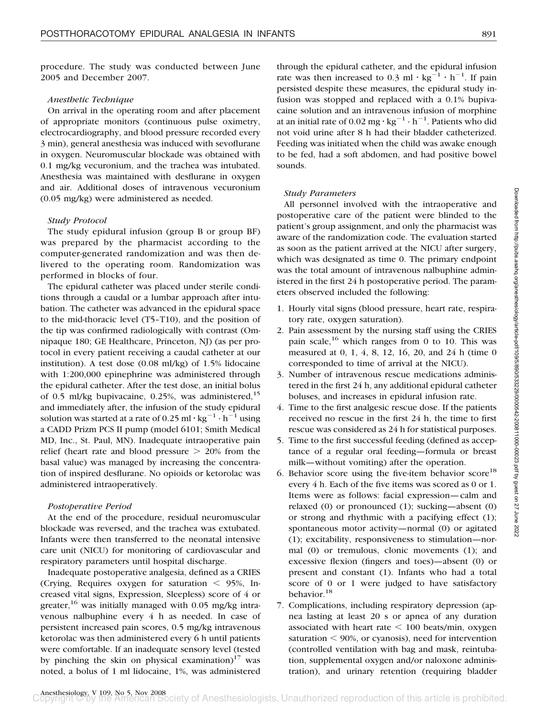procedure. The study was conducted between June 2005 and December 2007.

## *Anesthetic Technique*

On arrival in the operating room and after placement of appropriate monitors (continuous pulse oximetry, electrocardiography, and blood pressure recorded every 3 min), general anesthesia was induced with sevoflurane in oxygen. Neuromuscular blockade was obtained with 0.1 mg/kg vecuronium, and the trachea was intubated. Anesthesia was maintained with desflurane in oxygen and air. Additional doses of intravenous vecuronium (0.05 mg/kg) were administered as needed.

## *Study Protocol*

The study epidural infusion (group B or group BF) was prepared by the pharmacist according to the computer-generated randomization and was then delivered to the operating room. Randomization was performed in blocks of four.

The epidural catheter was placed under sterile conditions through a caudal or a lumbar approach after intubation. The catheter was advanced in the epidural space to the mid-thoracic level (T5–T10), and the position of the tip was confirmed radiologically with contrast (Omnipaque 180; GE Healthcare, Princeton, NJ) (as per protocol in every patient receiving a caudal catheter at our institution). A test dose (0.08 ml/kg) of 1.5% lidocaine with 1:200,000 epinephrine was administered through the epidural catheter. After the test dose, an initial bolus of 0.5 ml/kg bupivacaine, 0.25%, was administered, $^{15}$ and immediately after, the infusion of the study epidural solution was started at a rate of 0.25 ml  $\cdot$  kg<sup>-1</sup>  $\cdot$  h<sup>-1</sup> using a CADD Prizm PCS II pump (model 6101; Smith Medical MD, Inc., St. Paul, MN). Inadequate intraoperative pain relief (heart rate and blood pressure  $> 20\%$  from the basal value) was managed by increasing the concentration of inspired desflurane. No opioids or ketorolac was administered intraoperatively.

## *Postoperative Period*

At the end of the procedure, residual neuromuscular blockade was reversed, and the trachea was extubated. Infants were then transferred to the neonatal intensive care unit (NICU) for monitoring of cardiovascular and respiratory parameters until hospital discharge.

Inadequate postoperative analgesia, defined as a CRIES (Crying, Requires oxygen for saturation  $\leq$  95%, Increased vital signs, Expression, Sleepless) score of 4 or greater,<sup>16</sup> was initially managed with 0.05 mg/kg intravenous nalbuphine every 4 h as needed. In case of persistent increased pain scores, 0.5 mg/kg intravenous ketorolac was then administered every 6 h until patients were comfortable. If an inadequate sensory level (tested by pinching the skin on physical examination) $17$  was noted, a bolus of 1 ml lidocaine, 1%, was administered

through the epidural catheter, and the epidural infusion rate was then increased to 0.3 ml  $\cdot$  kg<sup>-1</sup>  $\cdot$  h<sup>-1</sup>. If pain persisted despite these measures, the epidural study infusion was stopped and replaced with a 0.1% bupivacaine solution and an intravenous infusion of morphine at an initial rate of  $0.02$  mg  $\cdot$  kg<sup>-1</sup>  $\cdot$  h<sup>-1</sup>. Patients who did not void urine after 8 h had their bladder catheterized. Feeding was initiated when the child was awake enough to be fed, had a soft abdomen, and had positive bowel sounds.

# *Study Parameters*

All personnel involved with the intraoperative and postoperative care of the patient were blinded to the patient's group assignment, and only the pharmacist was aware of the randomization code. The evaluation started as soon as the patient arrived at the NICU after surgery, which was designated as time 0. The primary endpoint was the total amount of intravenous nalbuphine administered in the first 24 h postoperative period. The parameters observed included the following:

- 1. Hourly vital signs (blood pressure, heart rate, respiratory rate, oxygen saturation).
- 2. Pain assessment by the nursing staff using the CRIES pain scale,  $16$  which ranges from 0 to 10. This was measured at 0, 1, 4, 8, 12, 16, 20, and 24 h (time 0 corresponded to time of arrival at the NICU).
- 3. Number of intravenous rescue medications administered in the first 24 h, any additional epidural catheter boluses, and increases in epidural infusion rate.
- 4. Time to the first analgesic rescue dose. If the patients received no rescue in the first 24 h, the time to first rescue was considered as 24 h for statistical purposes.
- 5. Time to the first successful feeding (defined as acceptance of a regular oral feeding—formula or breast milk—without vomiting) after the operation.
- 6. Behavior score using the five-item behavior score<sup>18</sup> every 4 h. Each of the five items was scored as 0 or 1. Items were as follows: facial expression—calm and relaxed (0) or pronounced (1); sucking—absent (0) or strong and rhythmic with a pacifying effect (1); spontaneous motor activity—normal (0) or agitated (1); excitability, responsiveness to stimulation—normal (0) or tremulous, clonic movements (1); and excessive flexion (fingers and toes)—absent (0) or present and constant (1). Infants who had a total score of 0 or 1 were judged to have satisfactory behavior.18
- 7. Complications, including respiratory depression (apnea lasting at least 20 s or apnea of any duration associated with heart rate  $\leq 100$  beats/min, oxygen saturation  $<$  90%, or cyanosis), need for intervention (controlled ventilation with bag and mask, reintubation, supplemental oxygen and/or naloxone administration), and urinary retention (requiring bladder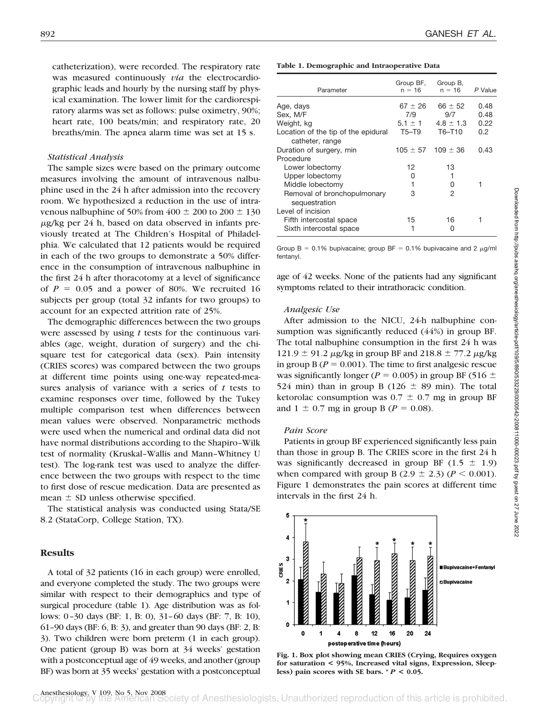catheterization), were recorded. The respiratory rate was measured continuously *via* the electrocardiographic leads and hourly by the nursing staff by physical examination. The lower limit for the cardiorespiratory alarms was set as follows: pulse oximetry, 90%; heart rate, 100 beats/min; and respiratory rate, 20 breaths/min. The apnea alarm time was set at 15 s.

### *Statistical Analysis*

The sample sizes were based on the primary outcome measures involving the amount of intravenous nalbuphine used in the 24 h after admission into the recovery room. We hypothesized a reduction in the use of intravenous nalbuphine of 50% from  $400 \pm 200$  to  $200 \pm 130$  $\mu$ g/kg per 24 h, based on data observed in infants previously treated at The Children's Hospital of Philadelphia. We calculated that 12 patients would be required in each of the two groups to demonstrate a 50% difference in the consumption of intravenous nalbuphine in the first 24 h after thoracotomy at a level of significance of  $P = 0.05$  and a power of 80%. We recruited 16 subjects per group (total 32 infants for two groups) to account for an expected attrition rate of 25%.

The demographic differences between the two groups were assessed by using *t* tests for the continuous variables (age, weight, duration of surgery) and the chisquare test for categorical data (sex). Pain intensity (CRIES scores) was compared between the two groups at different time points using one-way repeated-measures analysis of variance with a series of *t* tests to examine responses over time, followed by the Tukey multiple comparison test when differences between mean values were observed. Nonparametric methods were used when the numerical and ordinal data did not have normal distributions according to the Shapiro–Wilk test of normality (Kruskal–Wallis and Mann–Whitney U test). The log-rank test was used to analyze the difference between the two groups with respect to the time to first dose of rescue medication. Data are presented as mean  $\pm$  SD unless otherwise specified.

The statistical analysis was conducted using Stata/SE 8.2 (StataCorp, College Station, TX).

## **Results**

A total of 32 patients (16 in each group) were enrolled, and everyone completed the study. The two groups were similar with respect to their demographics and type of surgical procedure (table 1). Age distribution was as follows: 0–30 days (BF: 1, B: 0), 31–60 days (BF: 7, B: 10), 61–90 days (BF: 6, B: 3), and greater than 90 days (BF: 2, B: 3). Two children were born preterm (1 in each group). One patient (group B) was born at 34 weeks' gestation with a postconceptual age of 49 weeks, and another (group BF) was born at 35 weeks' gestation with a postconceptual

#### **Table 1. Demographic and Intraoperative Data**

| Parameter                           | Group BF,<br>$n = 16$ | Group B,<br>$n = 16$ | P Value |
|-------------------------------------|-----------------------|----------------------|---------|
|                                     |                       |                      |         |
| Age, days                           | $67 \pm 26$           | $66 \pm 52$          | 0.48    |
| Sex, M/F                            | 7/9                   | 9/7                  | 0.48    |
| Weight, kg                          | $5.1 \pm 1$           | $4.8 \pm 1.3$        | 0.22    |
| Location of the tip of the epidural | T5-T9                 | T6-T10               | 0.2     |
| catheter, range                     |                       |                      |         |
| Duration of surgery, min            | $105 \pm 57$          | $109 \pm 36$         | 0.43    |
| Procedure                           |                       |                      |         |
| Lower lobectomy                     | 12                    | 13                   |         |
| Upper lobectomy                     | 0                     |                      |         |
| Middle lobectomy                    | 1                     | 0                    | 1       |
| Removal of bronchopulmonary         | 3                     | 2                    |         |
| sequestration                       |                       |                      |         |
| Level of incision                   |                       |                      |         |
| Fifth intercostal space             | 15                    | 16                   |         |
| Sixth intercostal space             | 1                     | 0                    |         |

Group B = 0.1% bupivacaine; group BF = 0.1% bupivacaine and 2  $\mu$ g/ml fentanyl.

age of 42 weeks. None of the patients had any significant symptoms related to their intrathoracic condition.

#### *Analgesic Use*

After admission to the NICU, 24-h nalbuphine consumption was significantly reduced (44%) in group BF. The total nalbuphine consumption in the first 24 h was  $121.9 \pm 91.2 \,\mu$ g/kg in group BF and  $218.8 \pm 77.2 \,\mu$ g/kg in group B ( $P = 0.001$ ). The time to first analgesic rescue was significantly longer ( $P = 0.005$ ) in group BF (516  $\pm$ 524 min) than in group B (126  $\pm$  89 min). The total ketorolac consumption was  $0.7 \pm 0.7$  mg in group BF and  $1 \pm 0.7$  mg in group B ( $P = 0.08$ ).

#### *Pain Score*

Patients in group BF experienced significantly less pain than those in group B. The CRIES score in the first 24 h was significantly decreased in group BF  $(1.5 \pm 1.9)$ when compared with group B  $(2.9 \pm 2.3)$  ( $P < 0.001$ ). Figure 1 demonstrates the pain scores at different time intervals in the first 24 h.



**Fig. 1. Box plot showing mean CRIES (Crying, Requires oxygen for saturation < 95%, Increased vital signs, Expression, Sleepless) pain scores with SE bars. \*** *P* **< 0.05.**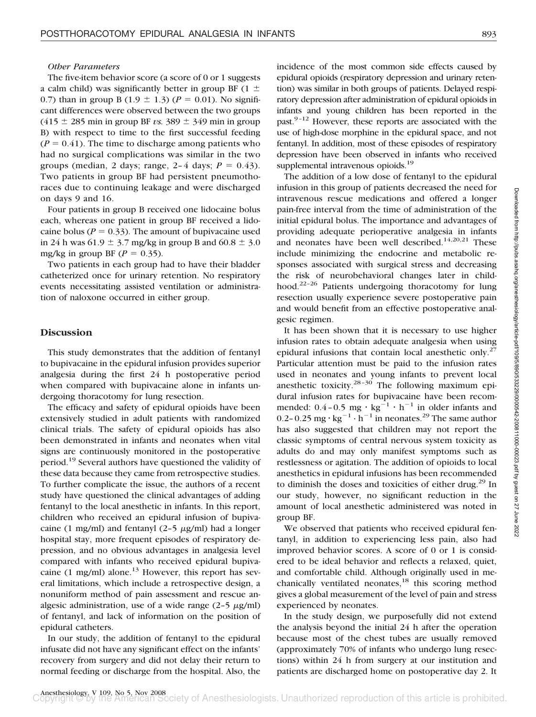### *Other Parameters*

The five-item behavior score (a score of 0 or 1 suggests a calm child) was significantly better in group BF (1  $\pm$ 0.7) than in group B (1.9  $\pm$  1.3) ( $P = 0.01$ ). No significant differences were observed between the two groups  $(415 \pm 285$  min in group BF *vs.* 389  $\pm$  349 min in group B) with respect to time to the first successful feeding  $(P = 0.41)$ . The time to discharge among patients who had no surgical complications was similar in the two groups (median, 2 days; range,  $2-4$  days;  $P = 0.43$ ). Two patients in group BF had persistent pneumothoraces due to continuing leakage and were discharged on days 9 and 16.

Four patients in group B received one lidocaine bolus each, whereas one patient in group BF received a lidocaine bolus ( $P = 0.33$ ). The amount of bupivacaine used in 24 h was  $61.9 \pm 3.7$  mg/kg in group B and  $60.8 \pm 3.0$ mg/kg in group BF  $(P = 0.35)$ .

Two patients in each group had to have their bladder catheterized once for urinary retention. No respiratory events necessitating assisted ventilation or administration of naloxone occurred in either group.

# **Discussion**

This study demonstrates that the addition of fentanyl to bupivacaine in the epidural infusion provides superior analgesia during the first 24 h postoperative period when compared with bupivacaine alone in infants undergoing thoracotomy for lung resection.

The efficacy and safety of epidural opioids have been extensively studied in adult patients with randomized clinical trials. The safety of epidural opioids has also been demonstrated in infants and neonates when vital signs are continuously monitored in the postoperative period.19 Several authors have questioned the validity of these data because they came from retrospective studies. To further complicate the issue, the authors of a recent study have questioned the clinical advantages of adding fentanyl to the local anesthetic in infants. In this report, children who received an epidural infusion of bupivacaine (1 mg/ml) and fentanyl (2-5  $\mu$ g/ml) had a longer hospital stay, more frequent episodes of respiratory depression, and no obvious advantages in analgesia level compared with infants who received epidural bupivacaine (1 mg/ml) alone. $13$  However, this report has several limitations, which include a retrospective design, a nonuniform method of pain assessment and rescue analgesic administration, use of a wide range  $(2-5 \mu g/ml)$ of fentanyl, and lack of information on the position of epidural catheters.

In our study, the addition of fentanyl to the epidural infusate did not have any significant effect on the infants' recovery from surgery and did not delay their return to normal feeding or discharge from the hospital. Also, the incidence of the most common side effects caused by epidural opioids (respiratory depression and urinary retention) was similar in both groups of patients. Delayed respiratory depression after administration of epidural opioids in infants and young children has been reported in the past. $9-12$  However, these reports are associated with the use of high-dose morphine in the epidural space, and not fentanyl. In addition, most of these episodes of respiratory depression have been observed in infants who received supplemental intravenous opioids.<sup>19</sup>

The addition of a low dose of fentanyl to the epidural infusion in this group of patients decreased the need for intravenous rescue medications and offered a longer pain-free interval from the time of administration of the initial epidural bolus. The importance and advantages of providing adequate perioperative analgesia in infants and neonates have been well described.<sup>14,20,21</sup> These include minimizing the endocrine and metabolic responses associated with surgical stress and decreasing the risk of neurobehavioral changes later in childhood.<sup>22-26</sup> Patients undergoing thoracotomy for lung resection usually experience severe postoperative pain and would benefit from an effective postoperative analgesic regimen.

It has been shown that it is necessary to use higher infusion rates to obtain adequate analgesia when using epidural infusions that contain local anesthetic only. $27$ Particular attention must be paid to the infusion rates used in neonates and young infants to prevent local anesthetic toxicity.<sup>28-30</sup> The following maximum epidural infusion rates for bupivacaine have been recommended:  $0.4 - 0.5$  mg  $\cdot$  kg<sup>-1</sup>  $\cdot$  h<sup>-1</sup> in older infants and 0.2–0.25 mg  $\cdot$  kg<sup>-1</sup>  $\cdot$  h<sup>-1</sup> in neonates.<sup>29</sup> The same author has also suggested that children may not report the classic symptoms of central nervous system toxicity as adults do and may only manifest symptoms such as restlessness or agitation. The addition of opioids to local anesthetics in epidural infusions has been recommended to diminish the doses and toxicities of either drug.<sup>29</sup> In our study, however, no significant reduction in the amount of local anesthetic administered was noted in group BF.

We observed that patients who received epidural fentanyl, in addition to experiencing less pain, also had improved behavior scores. A score of 0 or 1 is considered to be ideal behavior and reflects a relaxed, quiet, and comfortable child. Although originally used in mechanically ventilated neonates,<sup>18</sup> this scoring method gives a global measurement of the level of pain and stress experienced by neonates.

In the study design, we purposefully did not extend the analysis beyond the initial 24 h after the operation because most of the chest tubes are usually removed (approximately 70% of infants who undergo lung resections) within 24 h from surgery at our institution and patients are discharged home on postoperative day 2. It